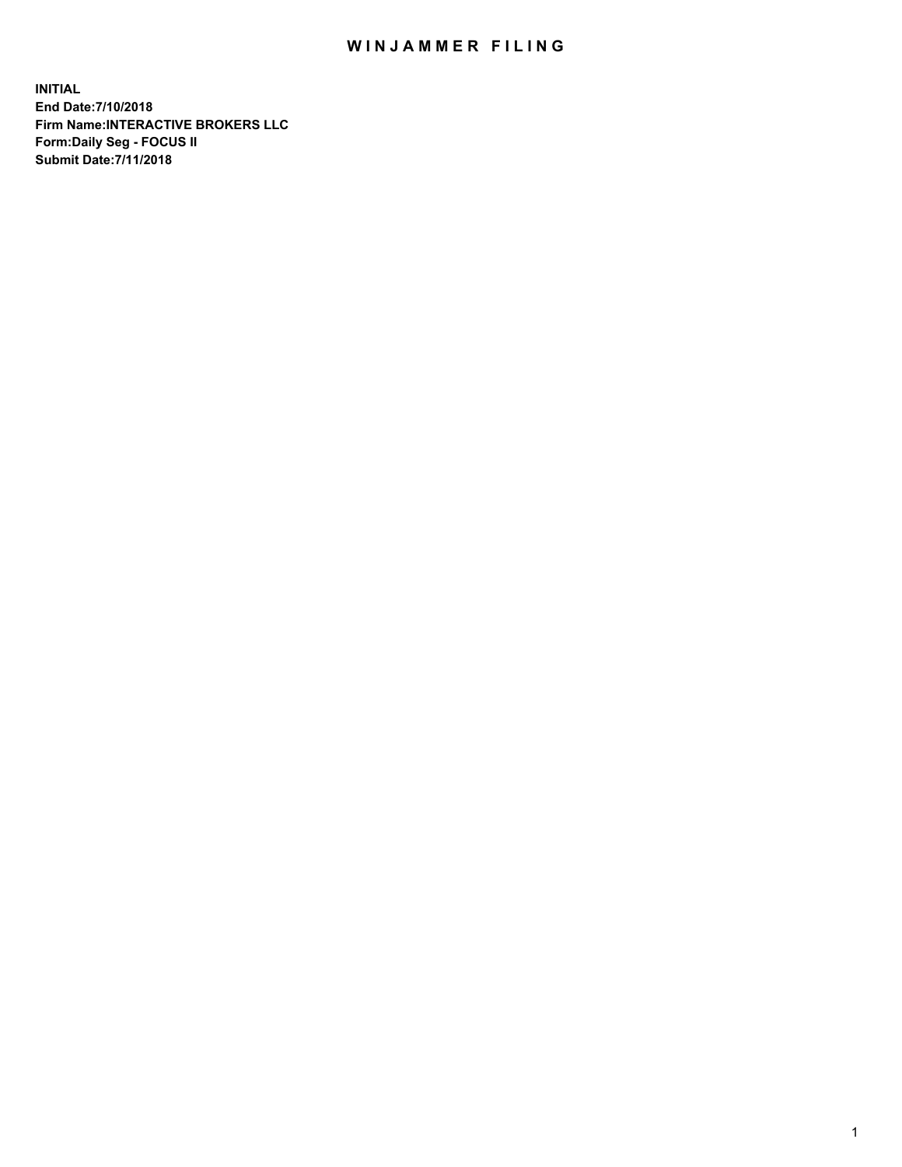## WIN JAMMER FILING

**INITIAL End Date:7/10/2018 Firm Name:INTERACTIVE BROKERS LLC Form:Daily Seg - FOCUS II Submit Date:7/11/2018**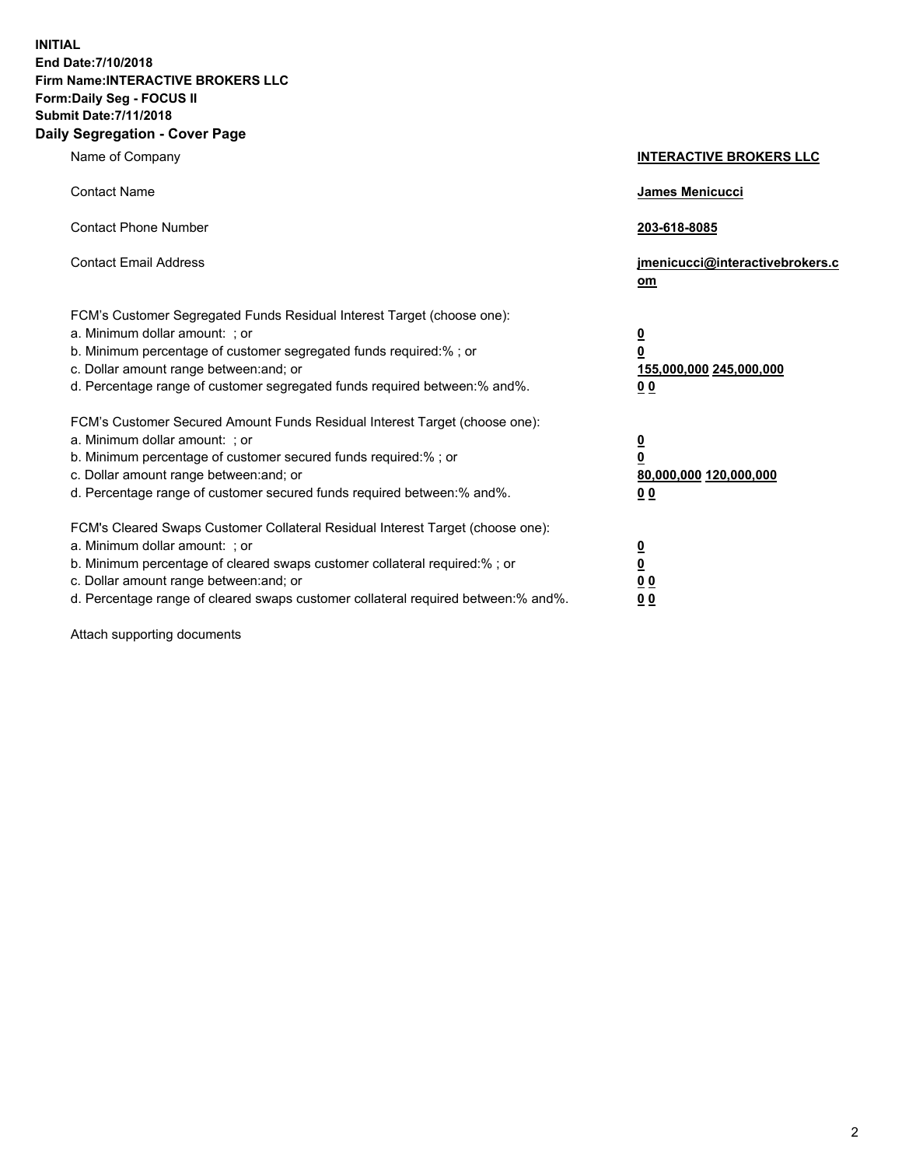**INITIAL End Date:7/10/2018 Firm Name:INTERACTIVE BROKERS LLC Form:Daily Seg - FOCUS II Submit Date:7/11/2018 Daily Segregation - Cover Page**

| Name of Company                                                                                                                                                                                                                                                                                                                | <b>INTERACTIVE BROKERS LLC</b>                                                                  |
|--------------------------------------------------------------------------------------------------------------------------------------------------------------------------------------------------------------------------------------------------------------------------------------------------------------------------------|-------------------------------------------------------------------------------------------------|
| <b>Contact Name</b>                                                                                                                                                                                                                                                                                                            | James Menicucci                                                                                 |
| <b>Contact Phone Number</b>                                                                                                                                                                                                                                                                                                    | 203-618-8085                                                                                    |
| <b>Contact Email Address</b>                                                                                                                                                                                                                                                                                                   | jmenicucci@interactivebrokers.c<br>om                                                           |
| FCM's Customer Segregated Funds Residual Interest Target (choose one):<br>a. Minimum dollar amount: ; or<br>b. Minimum percentage of customer segregated funds required:% ; or<br>c. Dollar amount range between: and; or<br>d. Percentage range of customer segregated funds required between:% and%.                         | $\overline{\mathbf{0}}$<br>$\overline{\mathbf{0}}$<br>155,000,000 245,000,000<br>0 <sub>0</sub> |
| FCM's Customer Secured Amount Funds Residual Interest Target (choose one):<br>a. Minimum dollar amount: ; or<br>b. Minimum percentage of customer secured funds required:% ; or<br>c. Dollar amount range between: and; or<br>d. Percentage range of customer secured funds required between:% and%.                           | $\overline{\mathbf{0}}$<br>0<br>80,000,000 120,000,000<br>0 <sub>0</sub>                        |
| FCM's Cleared Swaps Customer Collateral Residual Interest Target (choose one):<br>a. Minimum dollar amount: ; or<br>b. Minimum percentage of cleared swaps customer collateral required:% ; or<br>c. Dollar amount range between: and; or<br>d. Percentage range of cleared swaps customer collateral required between:% and%. | $\overline{\mathbf{0}}$<br><u>0</u><br>$\underline{0}$ $\underline{0}$<br>00                    |

Attach supporting documents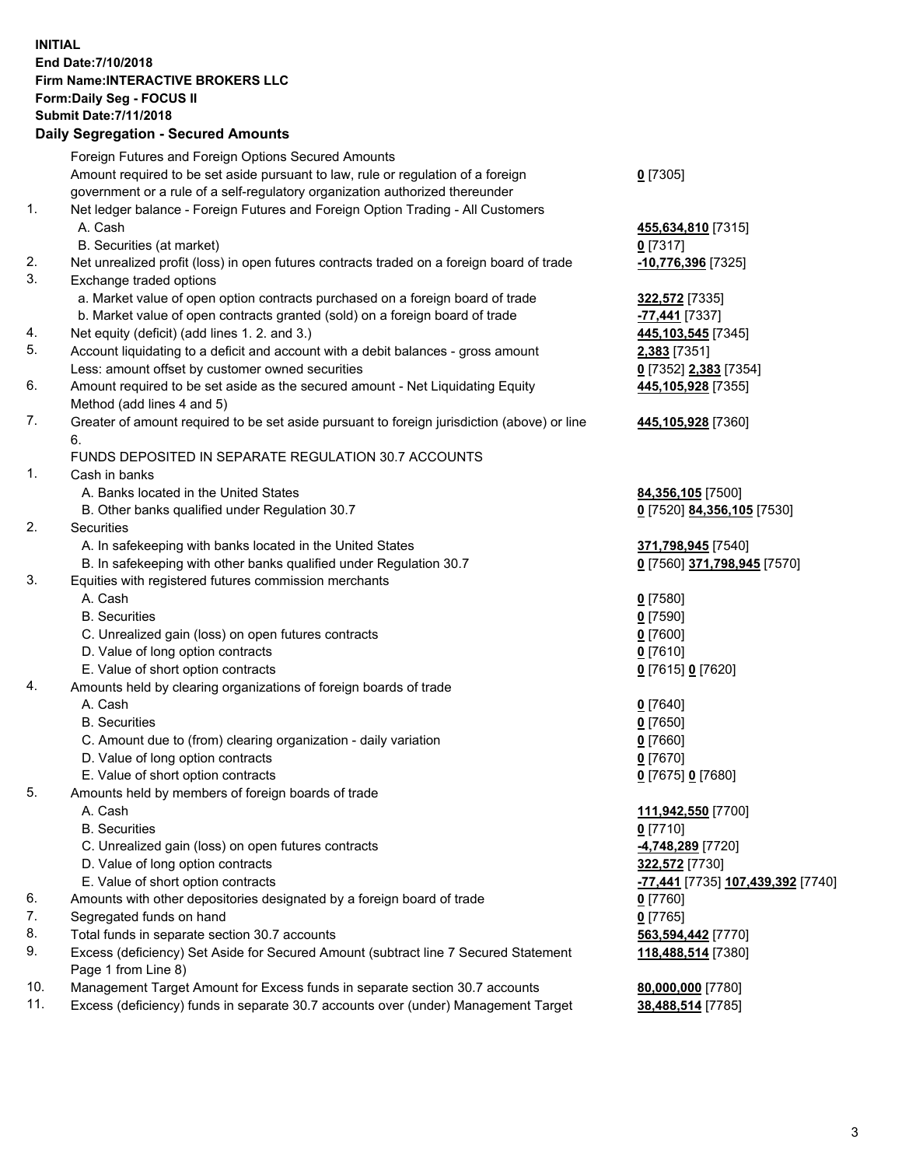## **INITIAL End Date:7/10/2018 Firm Name:INTERACTIVE BROKERS LLC Form:Daily Seg - FOCUS II Submit Date:7/11/2018 Daily Segregation - Secured Amounts**

|     | Daily Segregation - Secured Amounts                                                         |                                                 |
|-----|---------------------------------------------------------------------------------------------|-------------------------------------------------|
|     | Foreign Futures and Foreign Options Secured Amounts                                         |                                                 |
|     | Amount required to be set aside pursuant to law, rule or regulation of a foreign            | $Q$ [7305]                                      |
|     | government or a rule of a self-regulatory organization authorized thereunder                |                                                 |
| 1.  | Net ledger balance - Foreign Futures and Foreign Option Trading - All Customers             |                                                 |
|     | A. Cash                                                                                     | 455,634,810 [7315]                              |
|     | B. Securities (at market)                                                                   | $0$ [7317]                                      |
| 2.  | Net unrealized profit (loss) in open futures contracts traded on a foreign board of trade   | -10,776,396 [7325]                              |
| 3.  | Exchange traded options                                                                     |                                                 |
|     | a. Market value of open option contracts purchased on a foreign board of trade              | 322,572 [7335]                                  |
|     | b. Market value of open contracts granted (sold) on a foreign board of trade                | -77,441 <sub>[7337]</sub>                       |
| 4.  | Net equity (deficit) (add lines 1. 2. and 3.)                                               | 445,103,545 [7345]                              |
| 5.  | Account liquidating to a deficit and account with a debit balances - gross amount           | 2,383 [7351]                                    |
|     | Less: amount offset by customer owned securities                                            | 0 [7352] 2,383 [7354]                           |
| 6.  | Amount required to be set aside as the secured amount - Net Liquidating Equity              | 445,105,928 [7355]                              |
|     | Method (add lines 4 and 5)                                                                  |                                                 |
| 7.  | Greater of amount required to be set aside pursuant to foreign jurisdiction (above) or line | 445,105,928 [7360]                              |
|     | 6.                                                                                          |                                                 |
|     | FUNDS DEPOSITED IN SEPARATE REGULATION 30.7 ACCOUNTS                                        |                                                 |
| 1.  | Cash in banks                                                                               |                                                 |
|     | A. Banks located in the United States                                                       | 84,356,105 [7500]                               |
|     | B. Other banks qualified under Regulation 30.7                                              | 0 [7520] 84,356,105 [7530]                      |
| 2.  | Securities                                                                                  |                                                 |
|     | A. In safekeeping with banks located in the United States                                   | 371,798,945 [7540]                              |
|     | B. In safekeeping with other banks qualified under Regulation 30.7                          | 0 [7560] 371,798,945 [7570]                     |
| 3.  | Equities with registered futures commission merchants                                       |                                                 |
|     | A. Cash                                                                                     | $0$ [7580]                                      |
|     | <b>B.</b> Securities                                                                        | $0$ [7590]                                      |
|     | C. Unrealized gain (loss) on open futures contracts                                         | $0$ [7600]                                      |
|     | D. Value of long option contracts                                                           | $0$ [7610]                                      |
| 4.  | E. Value of short option contracts                                                          | 0 [7615] 0 [7620]                               |
|     | Amounts held by clearing organizations of foreign boards of trade<br>A. Cash                |                                                 |
|     | <b>B.</b> Securities                                                                        | $0$ [7640]                                      |
|     | C. Amount due to (from) clearing organization - daily variation                             | $0$ [7650]<br>$0$ [7660]                        |
|     | D. Value of long option contracts                                                           | $0$ [7670]                                      |
|     | E. Value of short option contracts                                                          | 0 [7675] 0 [7680]                               |
| 5.  | Amounts held by members of foreign boards of trade                                          |                                                 |
|     | A. Cash                                                                                     | 111,942,550 [7700]                              |
|     | <b>B.</b> Securities                                                                        | $0$ [7710]                                      |
|     | C. Unrealized gain (loss) on open futures contracts                                         | 4,748,289 [7720]                                |
|     | D. Value of long option contracts                                                           | 322,572 [7730]                                  |
|     | E. Value of short option contracts                                                          | <u>-77,441</u> [7735] <u>107,439,392</u> [7740] |
| 6.  | Amounts with other depositories designated by a foreign board of trade                      | 0 [7760]                                        |
| 7.  | Segregated funds on hand                                                                    | $0$ [7765]                                      |
| 8.  | Total funds in separate section 30.7 accounts                                               | 563,594,442 [7770]                              |
| 9.  | Excess (deficiency) Set Aside for Secured Amount (subtract line 7 Secured Statement         | 118,488,514 [7380]                              |
|     | Page 1 from Line 8)                                                                         |                                                 |
| 10. | Management Target Amount for Excess funds in separate section 30.7 accounts                 | 80,000,000 [7780]                               |
| 11. | Excess (deficiency) funds in separate 30.7 accounts over (under) Management Target          | 38,488,514 [7785]                               |
|     |                                                                                             |                                                 |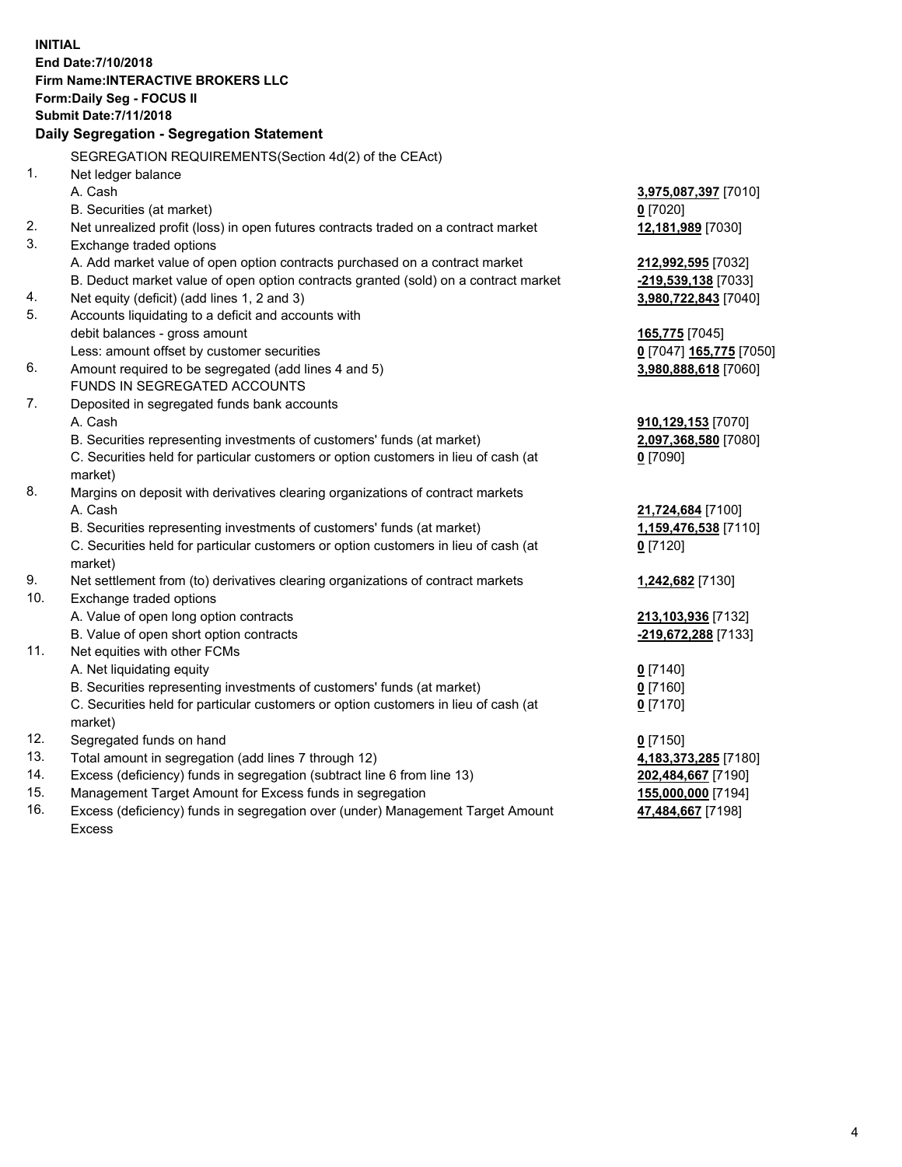**INITIAL End Date:7/10/2018 Firm Name:INTERACTIVE BROKERS LLC Form:Daily Seg - FOCUS II Submit Date:7/11/2018 Daily Segregation - Segregation Statement** SEGREGATION REQUIREMENTS(Section 4d(2) of the CEAct) 1. Net ledger balance A. Cash **3,975,087,397** [7010] B. Securities (at market) **0** [7020] 2. Net unrealized profit (loss) in open futures contracts traded on a contract market **12,181,989** [7030] 3. Exchange traded options A. Add market value of open option contracts purchased on a contract market **212,992,595** [7032] B. Deduct market value of open option contracts granted (sold) on a contract market **-219,539,138** [7033] 4. Net equity (deficit) (add lines 1, 2 and 3) **3,980,722,843** [7040] 5. Accounts liquidating to a deficit and accounts with debit balances - gross amount **165,775** [7045] Less: amount offset by customer securities **0** [7047] **165,775** [7050] 6. Amount required to be segregated (add lines 4 and 5) **3,980,888,618** [7060] FUNDS IN SEGREGATED ACCOUNTS 7. Deposited in segregated funds bank accounts A. Cash **910,129,153** [7070] B. Securities representing investments of customers' funds (at market) **2,097,368,580** [7080] C. Securities held for particular customers or option customers in lieu of cash (at market) **0** [7090] 8. Margins on deposit with derivatives clearing organizations of contract markets A. Cash **21,724,684** [7100] B. Securities representing investments of customers' funds (at market) **1,159,476,538** [7110] C. Securities held for particular customers or option customers in lieu of cash (at market) **0** [7120] 9. Net settlement from (to) derivatives clearing organizations of contract markets **1,242,682** [7130] 10. Exchange traded options A. Value of open long option contracts **213,103,936** [7132] B. Value of open short option contracts **-219,672,288** [7133] 11. Net equities with other FCMs A. Net liquidating equity **0** [7140] B. Securities representing investments of customers' funds (at market) **0** [7160] C. Securities held for particular customers or option customers in lieu of cash (at market) **0** [7170] 12. Segregated funds on hand **0** [7150] 13. Total amount in segregation (add lines 7 through 12) **4,183,373,285** [7180] 14. Excess (deficiency) funds in segregation (subtract line 6 from line 13) **202,484,667** [7190] 15. Management Target Amount for Excess funds in segregation **155,000,000** [7194] **47,484,667** [7198]

16. Excess (deficiency) funds in segregation over (under) Management Target Amount Excess